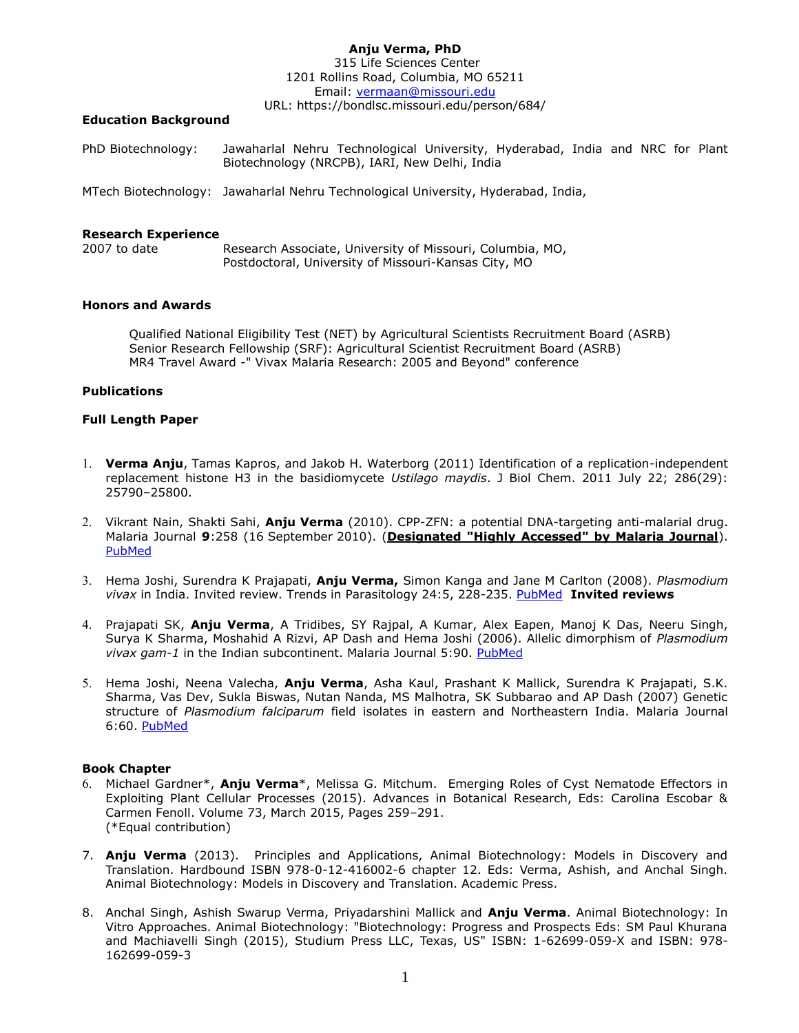#### **Anju Verma, PhD**  315 Life Sciences Center 1201 Rollins Road, Columbia, MO 65211 Email: [vermaan@missouri.edu](mailto:vermaan@missouri.edu)

URL: https://bondlsc.missouri.edu/person/684/

#### **Education Background**

PhD Biotechnology: Jawaharlal Nehru Technological University, Hyderabad, India and NRC for Plant Biotechnology (NRCPB), IARI, New Delhi, India

MTech Biotechnology: Jawaharlal Nehru Technological University, Hyderabad, India,

## **Research Experience**

2007 to date Research Associate, University of Missouri, Columbia, MO, Postdoctoral, University of Missouri-Kansas City, MO

## **Honors and Awards**

Qualified National Eligibility Test (NET) by Agricultural Scientists Recruitment Board (ASRB) Senior Research Fellowship (SRF): Agricultural Scientist Recruitment Board (ASRB) MR4 Travel Award -" Vivax Malaria Research: 2005 and Beyond" conference

# **Publications**

## **Full Length Paper**

- **Verma Anju**, Tamas Kapros, and Jakob H. Waterborg (2011) Identification of a replication-independent replacement histone H3 in the basidiomycete *Ustilago maydis*. J Biol Chem. 2011 July 22; 286(29): 25790–25800.
- Vikrant Nain, Shakti Sahi, **Anju Verma** (2010). CPP-ZFN: a potential DNA-targeting anti-malarial drug. Malaria Journal **9**:258 (16 September 2010). (**Designated "Highly Accessed" by Malaria Journal**). [PubMed](http://www.ncbi.nlm.nih.gov/pmc/articles/PMC2949742/)
- Hema Joshi, Surendra K Prajapati, **Anju Verma,** Simon Kanga and Jane M Carlton (2008). *Plasmodium vivax* in India. Invited review. Trends in Parasitology 24:5, 228-235. [PubMed](http://www.ncbi.nlm.nih.gov/pubmed/18403267) **Invited reviews**
- Prajapati SK, **Anju Verma**, A Tridibes, SY Rajpal, A Kumar, Alex Eapen, Manoj K Das, Neeru Singh, Surya K Sharma, Moshahid A Rizvi, AP Dash and Hema Joshi (2006). Allelic dimorphism of *Plasmodium vivax gam-1* in the Indian subcontinent. Malaria Journal 5:90. [PubMed](http://www.ncbi.nlm.nih.gov/pubmed/17062127)
- Hema Joshi, Neena Valecha, **Anju Verma**, Asha Kaul, Prashant K Mallick, Surendra K Prajapati, S.K. Sharma, Vas Dev, Sukla Biswas, Nutan Nanda, MS Malhotra, SK Subbarao and AP Dash (2007) Genetic structure of *Plasmodium falciparum* field isolates in eastern and Northeastern India. Malaria Journal 6:60. PubMed

# **Book Chapter**

- Michael Gardner\*, **Anju Verma**\*, Melissa G. Mitchum. Emerging Roles of Cyst Nematode Effectors in Exploiting Plant Cellular Processes (2015). Advances in Botanical Research, Eds: Carolina Escobar & Carmen Fenoll. Volume 73, March 2015, Pages 259–291. (\*Equal contribution)
- 7. **Anju Verma** (2013). Principles and Applications, Animal Biotechnology: Models in Discovery and Translation. Hardbound ISBN 978-0-12-416002-6 chapter 12. Eds: Verma, Ashish, and Anchal Singh. Animal Biotechnology: Models in Discovery and Translation. Academic Press.
- 8. Anchal Singh, Ashish Swarup Verma, Priyadarshini Mallick and **Anju Verma**. Animal Biotechnology: In Vitro Approaches. Animal Biotechnology: "Biotechnology: Progress and Prospects Eds: SM Paul Khurana and Machiavelli Singh (2015), Studium Press LLC, Texas, US" ISBN: 1-62699-059-X and ISBN: 978- 162699-059-3